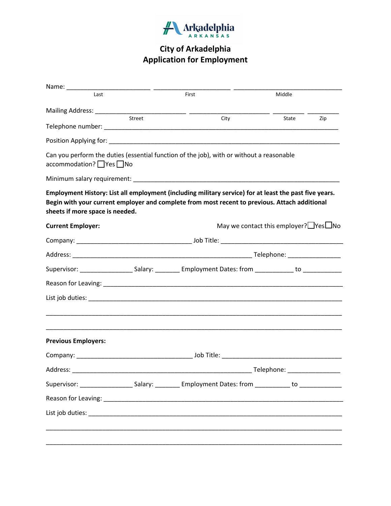

| Last                            |        | First                                                                                                                                                                                                   | Middle                                             |  |
|---------------------------------|--------|---------------------------------------------------------------------------------------------------------------------------------------------------------------------------------------------------------|----------------------------------------------------|--|
|                                 |        |                                                                                                                                                                                                         |                                                    |  |
|                                 | Street | City                                                                                                                                                                                                    | State<br>Zip                                       |  |
|                                 |        |                                                                                                                                                                                                         |                                                    |  |
| accommodation? Ves ONo          |        | Can you perform the duties (essential function of the job), with or without a reasonable                                                                                                                |                                                    |  |
|                                 |        |                                                                                                                                                                                                         |                                                    |  |
| sheets if more space is needed. |        | Employment History: List all employment (including military service) for at least the past five years.<br>Begin with your current employer and complete from most recent to previous. Attach additional |                                                    |  |
| <b>Current Employer:</b>        |        |                                                                                                                                                                                                         | May we contact this employer? $\Box$ Yes $\Box$ No |  |
|                                 |        |                                                                                                                                                                                                         |                                                    |  |
|                                 |        |                                                                                                                                                                                                         |                                                    |  |
|                                 |        | Supervisor: ________________________Salary: ______________Employment Dates: from ________________ to ______________                                                                                     |                                                    |  |
|                                 |        |                                                                                                                                                                                                         |                                                    |  |
|                                 |        |                                                                                                                                                                                                         |                                                    |  |
| <b>Previous Employers:</b>      |        |                                                                                                                                                                                                         |                                                    |  |
|                                 |        |                                                                                                                                                                                                         |                                                    |  |
|                                 |        |                                                                                                                                                                                                         |                                                    |  |
|                                 |        | Supervisor: _______________________Salary: ____________ Employment Dates: from _____________ to ______________                                                                                          |                                                    |  |
|                                 |        |                                                                                                                                                                                                         |                                                    |  |
|                                 |        |                                                                                                                                                                                                         |                                                    |  |
|                                 |        |                                                                                                                                                                                                         |                                                    |  |
|                                 |        |                                                                                                                                                                                                         |                                                    |  |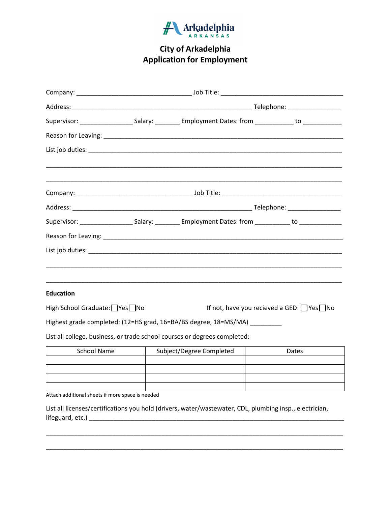

|                              | Supervisor: _______________________Salary: ____________ Employment Dates: from ______________ to _____________ |                                                       |  |  |
|------------------------------|----------------------------------------------------------------------------------------------------------------|-------------------------------------------------------|--|--|
|                              |                                                                                                                |                                                       |  |  |
|                              |                                                                                                                |                                                       |  |  |
|                              |                                                                                                                |                                                       |  |  |
|                              |                                                                                                                |                                                       |  |  |
|                              | Supervisor: _____________________Salary: ___________ Employment Dates: from ____________ to ______________     |                                                       |  |  |
|                              |                                                                                                                |                                                       |  |  |
|                              |                                                                                                                |                                                       |  |  |
| <b>Education</b>             |                                                                                                                |                                                       |  |  |
| High School Graduate: Yes No |                                                                                                                | If not, have you recieved a GED: $\Box$ Yes $\Box$ No |  |  |
|                              | Highest grade completed: (12=HS grad, 16=BA/BS degree, 18=MS/MA) _________                                     |                                                       |  |  |
|                              | List all college, business, or trade school courses or degrees completed:                                      |                                                       |  |  |
| <b>School Name</b>           | Subject/Degree Completed                                                                                       | Dates                                                 |  |  |
|                              |                                                                                                                |                                                       |  |  |

Attach additional sheets if more space is needed

List all licenses/certifications you hold (drivers, water/wastewater, CDL, plumbing insp., electrician, lifeguard, etc.) \_\_\_\_\_\_\_\_\_\_\_\_\_\_\_\_\_\_\_\_\_\_\_\_\_\_\_\_\_\_\_\_\_\_\_\_\_\_\_\_\_\_\_\_\_\_\_\_\_\_\_\_\_\_\_\_\_\_\_\_\_\_\_\_\_\_\_\_\_\_\_\_\_

\_\_\_\_\_\_\_\_\_\_\_\_\_\_\_\_\_\_\_\_\_\_\_\_\_\_\_\_\_\_\_\_\_\_\_\_\_\_\_\_\_\_\_\_\_\_\_\_\_\_\_\_\_\_\_\_\_\_\_\_\_\_\_\_\_\_\_\_\_\_\_\_\_\_\_\_\_\_\_\_\_\_\_\_\_

\_\_\_\_\_\_\_\_\_\_\_\_\_\_\_\_\_\_\_\_\_\_\_\_\_\_\_\_\_\_\_\_\_\_\_\_\_\_\_\_\_\_\_\_\_\_\_\_\_\_\_\_\_\_\_\_\_\_\_\_\_\_\_\_\_\_\_\_\_\_\_\_\_\_\_\_\_\_\_\_\_\_\_\_\_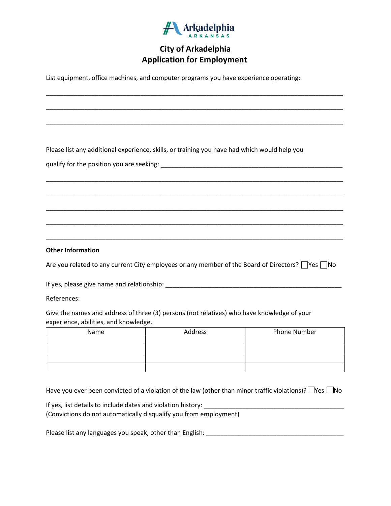

\_\_\_\_\_\_\_\_\_\_\_\_\_\_\_\_\_\_\_\_\_\_\_\_\_\_\_\_\_\_\_\_\_\_\_\_\_\_\_\_\_\_\_\_\_\_\_\_\_\_\_\_\_\_\_\_\_\_\_\_\_\_\_\_\_\_\_\_\_\_\_\_\_\_\_\_\_\_\_\_\_\_\_\_\_

\_\_\_\_\_\_\_\_\_\_\_\_\_\_\_\_\_\_\_\_\_\_\_\_\_\_\_\_\_\_\_\_\_\_\_\_\_\_\_\_\_\_\_\_\_\_\_\_\_\_\_\_\_\_\_\_\_\_\_\_\_\_\_\_\_\_\_\_\_\_\_\_\_\_\_\_\_\_\_\_\_\_\_\_\_

\_\_\_\_\_\_\_\_\_\_\_\_\_\_\_\_\_\_\_\_\_\_\_\_\_\_\_\_\_\_\_\_\_\_\_\_\_\_\_\_\_\_\_\_\_\_\_\_\_\_\_\_\_\_\_\_\_\_\_\_\_\_\_\_\_\_\_\_\_\_\_\_\_\_\_\_\_\_\_\_\_\_\_\_\_

\_\_\_\_\_\_\_\_\_\_\_\_\_\_\_\_\_\_\_\_\_\_\_\_\_\_\_\_\_\_\_\_\_\_\_\_\_\_\_\_\_\_\_\_\_\_\_\_\_\_\_\_\_\_\_\_\_\_\_\_\_\_\_\_\_\_\_\_\_\_\_\_\_\_\_\_\_\_\_\_\_\_\_\_\_

\_\_\_\_\_\_\_\_\_\_\_\_\_\_\_\_\_\_\_\_\_\_\_\_\_\_\_\_\_\_\_\_\_\_\_\_\_\_\_\_\_\_\_\_\_\_\_\_\_\_\_\_\_\_\_\_\_\_\_\_\_\_\_\_\_\_\_\_\_\_\_\_\_\_\_\_\_\_\_\_\_\_\_\_\_

\_\_\_\_\_\_\_\_\_\_\_\_\_\_\_\_\_\_\_\_\_\_\_\_\_\_\_\_\_\_\_\_\_\_\_\_\_\_\_\_\_\_\_\_\_\_\_\_\_\_\_\_\_\_\_\_\_\_\_\_\_\_\_\_\_\_\_\_\_\_\_\_\_\_\_\_\_\_\_\_\_\_\_\_\_

\_\_\_\_\_\_\_\_\_\_\_\_\_\_\_\_\_\_\_\_\_\_\_\_\_\_\_\_\_\_\_\_\_\_\_\_\_\_\_\_\_\_\_\_\_\_\_\_\_\_\_\_\_\_\_\_\_\_\_\_\_\_\_\_\_\_\_\_\_\_\_\_\_\_\_\_\_\_\_\_\_\_\_\_\_

\_\_\_\_\_\_\_\_\_\_\_\_\_\_\_\_\_\_\_\_\_\_\_\_\_\_\_\_\_\_\_\_\_\_\_\_\_\_\_\_\_\_\_\_\_\_\_\_\_\_\_\_\_\_\_\_\_\_\_\_\_\_\_\_\_\_\_\_\_\_\_\_\_\_\_\_\_\_\_\_\_\_\_\_\_

List equipment, office machines, and computer programs you have experience operating:

Please list any additional experience, skills, or training you have had which would help you

qualify for the position you are seeking: \_\_\_\_\_\_\_\_\_\_\_\_\_\_\_\_\_\_\_\_\_\_\_\_\_\_\_\_\_\_\_\_\_\_\_\_\_\_\_\_\_\_\_\_\_\_\_\_\_\_\_\_

**Other Information** 

Are you related to any current City employees or any member of the Board of Directors?  $\Box$  Yes  $\Box$  No

If yes, please give name and relationship: \_\_\_\_\_\_\_\_\_\_\_\_\_\_\_\_\_\_\_\_\_\_\_\_\_\_\_\_\_\_\_\_\_\_\_\_\_\_\_\_\_\_\_\_\_\_\_\_\_\_

References:

Give the names and address of three (3) persons (not relatives) who have knowledge of your experience, abilities, and knowledge.

| Name | Address | Phone Number |  |  |
|------|---------|--------------|--|--|
|      |         |              |  |  |
|      |         |              |  |  |
|      |         |              |  |  |
|      |         |              |  |  |

Have you ever been convicted of a violation of the law (other than minor traffic violations)?  $\Box$  Yes  $\Box$  No

If yes, list details to include dates and violation history: (Convictions do not automatically disqualify you from employment)

Please list any languages you speak, other than English: \_\_\_\_\_\_\_\_\_\_\_\_\_\_\_\_\_\_\_\_\_\_\_\_